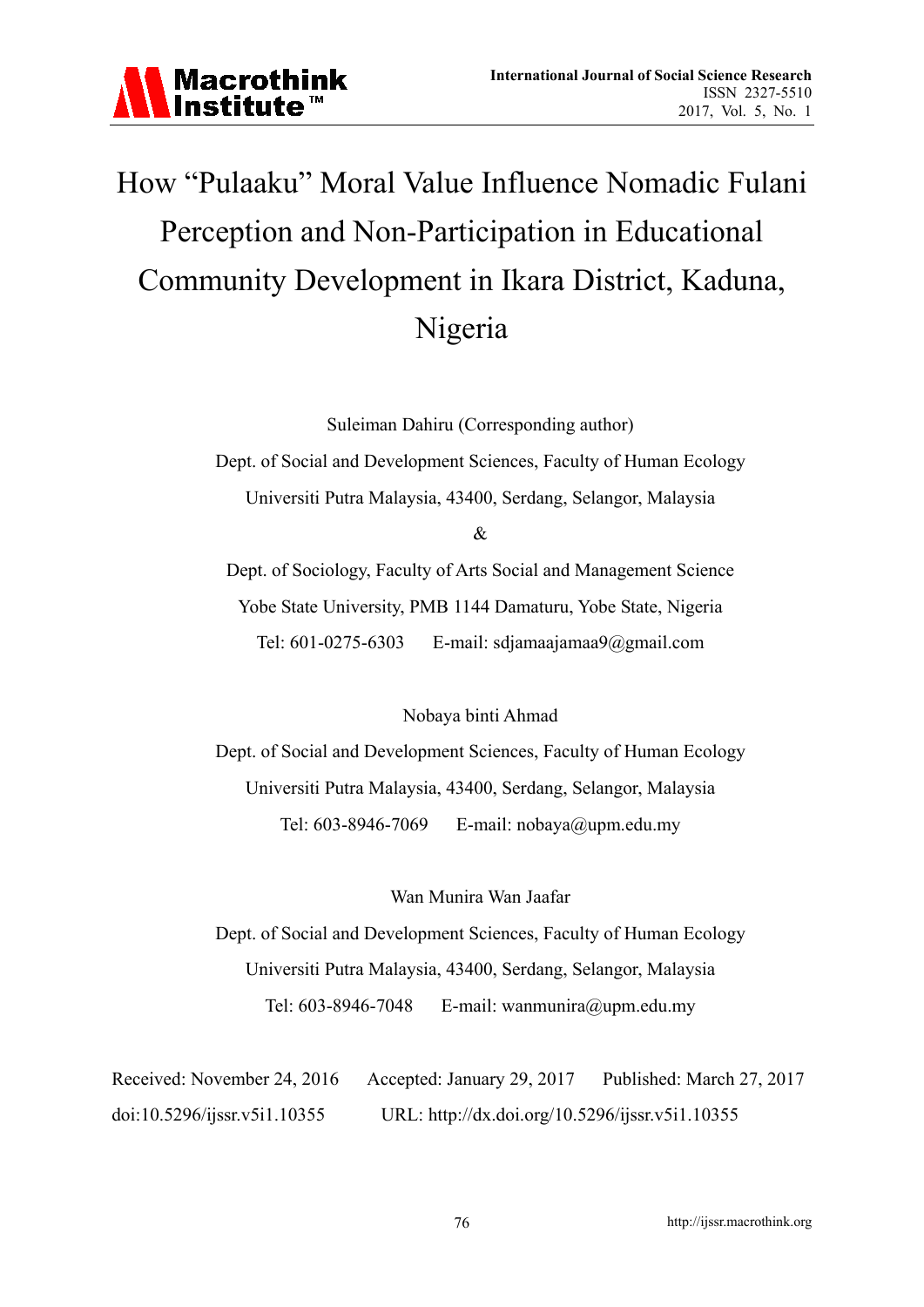

# How "Pulaaku" Moral Value Influence Nomadic Fulani Perception and Non-Participation in Educational Community Development in Ikara District, Kaduna, Nigeria

Suleiman Dahiru (Corresponding author)

Dept. of Social and Development Sciences, Faculty of Human Ecology Universiti Putra Malaysia, 43400, Serdang, Selangor, Malaysia

&

Dept. of Sociology, Faculty of Arts Social and Management Science Yobe State University, PMB 1144 Damaturu, Yobe State, Nigeria Tel: 601-0275-6303 E-mail: sdjamaajamaa9@gmail.com

Nobaya binti Ahmad

Dept. of Social and Development Sciences, Faculty of Human Ecology Universiti Putra Malaysia, 43400, Serdang, Selangor, Malaysia Tel: 603-8946-7069 E-mail: nobaya@upm.edu.my

Wan Munira Wan Jaafar

Dept. of Social and Development Sciences, Faculty of Human Ecology Universiti Putra Malaysia, 43400, Serdang, Selangor, Malaysia Tel: 603-8946-7048 E-mail: wanmunira@upm.edu.my

Received: November 24, 2016 Accepted: January 29, 2017 Published: March 27, 2017 doi:10.5296/ijssr.v5i1.10355 URL: http://dx.doi.org/10.5296/ijssr.v5i1.10355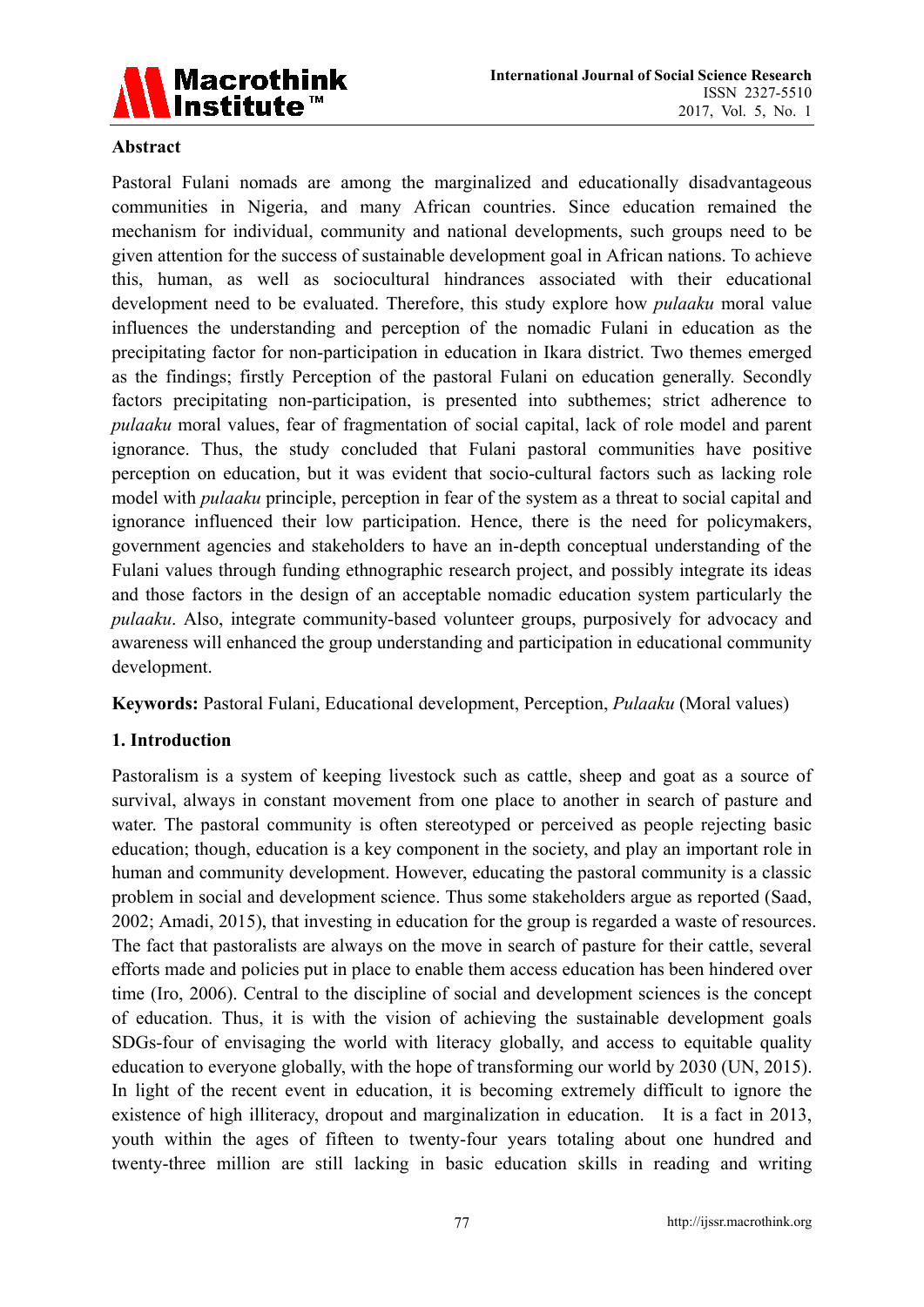

#### **Abstract**

Pastoral Fulani nomads are among the marginalized and educationally disadvantageous communities in Nigeria, and many African countries. Since education remained the mechanism for individual, community and national developments, such groups need to be given attention for the success of sustainable development goal in African nations. To achieve this, human, as well as sociocultural hindrances associated with their educational development need to be evaluated. Therefore, this study explore how *pulaaku* moral value influences the understanding and perception of the nomadic Fulani in education as the precipitating factor for non-participation in education in Ikara district. Two themes emerged as the findings; firstly Perception of the pastoral Fulani on education generally. Secondly factors precipitating non-participation, is presented into subthemes; strict adherence to *pulaaku* moral values, fear of fragmentation of social capital, lack of role model and parent ignorance. Thus, the study concluded that Fulani pastoral communities have positive perception on education, but it was evident that socio-cultural factors such as lacking role model with *pulaaku* principle, perception in fear of the system as a threat to social capital and ignorance influenced their low participation. Hence, there is the need for policymakers, government agencies and stakeholders to have an in-depth conceptual understanding of the Fulani values through funding ethnographic research project, and possibly integrate its ideas and those factors in the design of an acceptable nomadic education system particularly the *pulaaku*. Also, integrate community-based volunteer groups, purposively for advocacy and awareness will enhanced the group understanding and participation in educational community development.

**Keywords:** Pastoral Fulani, Educational development, Perception, *Pulaaku* (Moral values)

# **1. Introduction**

Pastoralism is a system of keeping livestock such as cattle, sheep and goat as a source of survival, always in constant movement from one place to another in search of pasture and water. The pastoral community is often stereotyped or perceived as people rejecting basic education; though, education is a key component in the society, and play an important role in human and community development. However, educating the pastoral community is a classic problem in social and development science. Thus some stakeholders argue as reported (Saad, 2002; Amadi, 2015), that investing in education for the group is regarded a waste of resources. The fact that pastoralists are always on the move in search of pasture for their cattle, several efforts made and policies put in place to enable them access education has been hindered over time (Iro, 2006). Central to the discipline of social and development sciences is the concept of education. Thus, it is with the vision of achieving the sustainable development goals SDGs-four of envisaging the world with literacy globally, and access to equitable quality education to everyone globally, with the hope of transforming our world by 2030 (UN, 2015). In light of the recent event in education, it is becoming extremely difficult to ignore the existence of high illiteracy, dropout and marginalization in education. It is a fact in 2013, youth within the ages of fifteen to twenty-four years totaling about one hundred and twenty-three million are still lacking in basic education skills in reading and writing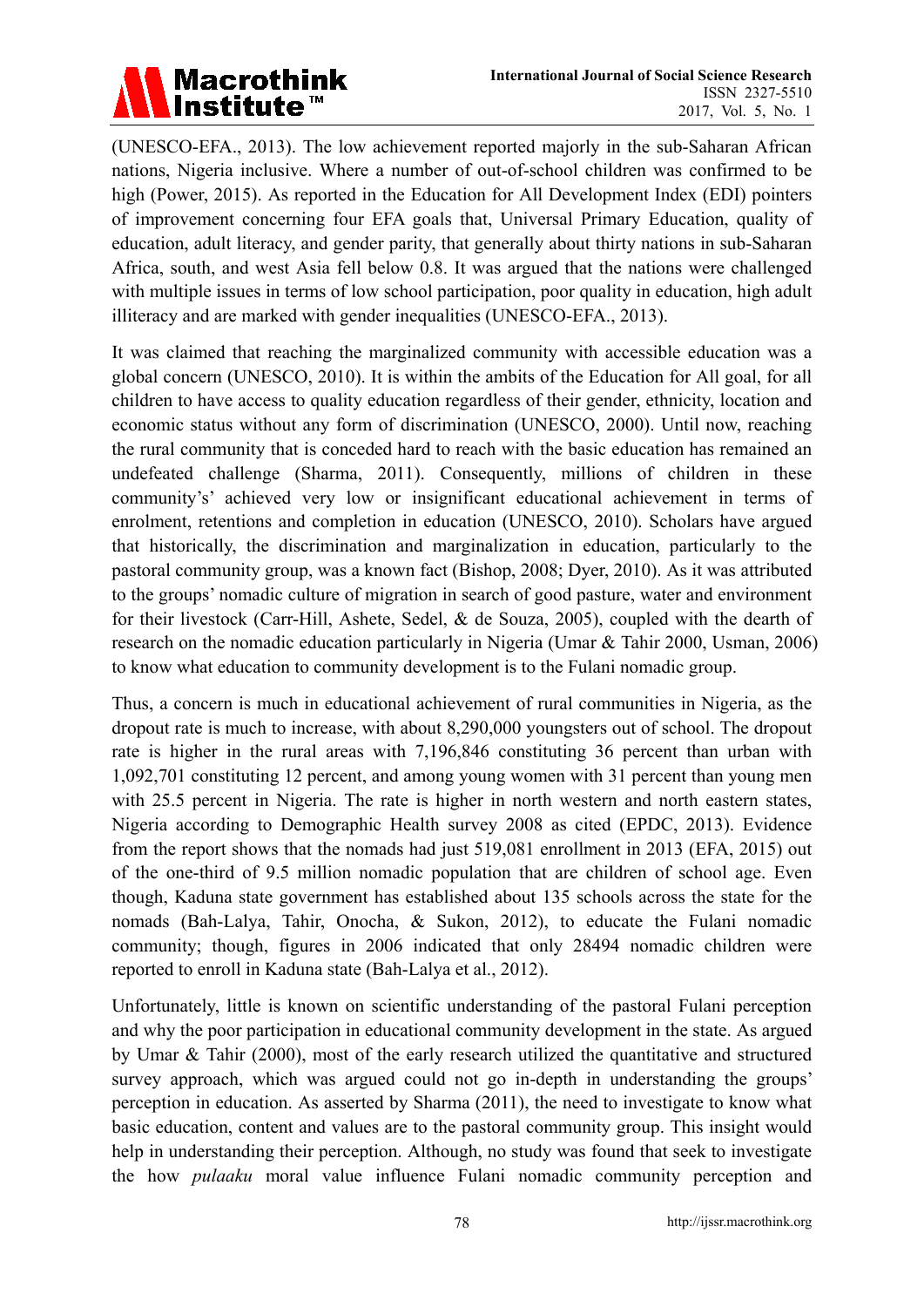

(UNESCO-EFA., 2013). The low achievement reported majorly in the sub-Saharan African nations, Nigeria inclusive. Where a number of out-of-school children was confirmed to be high (Power, 2015). As reported in the Education for All Development Index (EDI) pointers of improvement concerning four EFA goals that, Universal Primary Education, quality of education, adult literacy, and gender parity, that generally about thirty nations in sub-Saharan Africa, south, and west Asia fell below 0.8. It was argued that the nations were challenged with multiple issues in terms of low school participation, poor quality in education, high adult illiteracy and are marked with gender inequalities (UNESCO-EFA., 2013).

It was claimed that reaching the marginalized community with accessible education was a global concern (UNESCO, 2010). It is within the ambits of the Education for All goal, for all children to have access to quality education regardless of their gender, ethnicity, location and economic status without any form of discrimination (UNESCO, 2000). Until now, reaching the rural community that is conceded hard to reach with the basic education has remained an undefeated challenge (Sharma, 2011). Consequently, millions of children in these community's' achieved very low or insignificant educational achievement in terms of enrolment, retentions and completion in education (UNESCO, 2010). Scholars have argued that historically, the discrimination and marginalization in education, particularly to the pastoral community group, was a known fact (Bishop, 2008; Dyer, 2010). As it was attributed to the groups' nomadic culture of migration in search of good pasture, water and environment for their livestock (Carr-Hill, Ashete, Sedel, & de Souza, 2005), coupled with the dearth of research on the nomadic education particularly in Nigeria (Umar & Tahir 2000, Usman, 2006) to know what education to community development is to the Fulani nomadic group.

Thus, a concern is much in educational achievement of rural communities in Nigeria, as the dropout rate is much to increase, with about 8,290,000 youngsters out of school. The dropout rate is higher in the rural areas with 7,196,846 constituting 36 percent than urban with 1,092,701 constituting 12 percent, and among young women with 31 percent than young men with 25.5 percent in Nigeria. The rate is higher in north western and north eastern states, Nigeria according to Demographic Health survey 2008 as cited (EPDC, 2013). Evidence from the report shows that the nomads had just 519,081 enrollment in 2013 (EFA, 2015) out of the one-third of 9.5 million nomadic population that are children of school age. Even though, Kaduna state government has established about 135 schools across the state for the nomads (Bah-Lalya, Tahir, Onocha, & Sukon, 2012), to educate the Fulani nomadic community; though, figures in 2006 indicated that only 28494 nomadic children were reported to enroll in Kaduna state (Bah-Lalya et al., 2012).

Unfortunately, little is known on scientific understanding of the pastoral Fulani perception and why the poor participation in educational community development in the state. As argued by Umar & Tahir (2000), most of the early research utilized the quantitative and structured survey approach, which was argued could not go in-depth in understanding the groups' perception in education. As asserted by Sharma (2011), the need to investigate to know what basic education, content and values are to the pastoral community group. This insight would help in understanding their perception. Although, no study was found that seek to investigate the how *pulaaku* moral value influence Fulani nomadic community perception and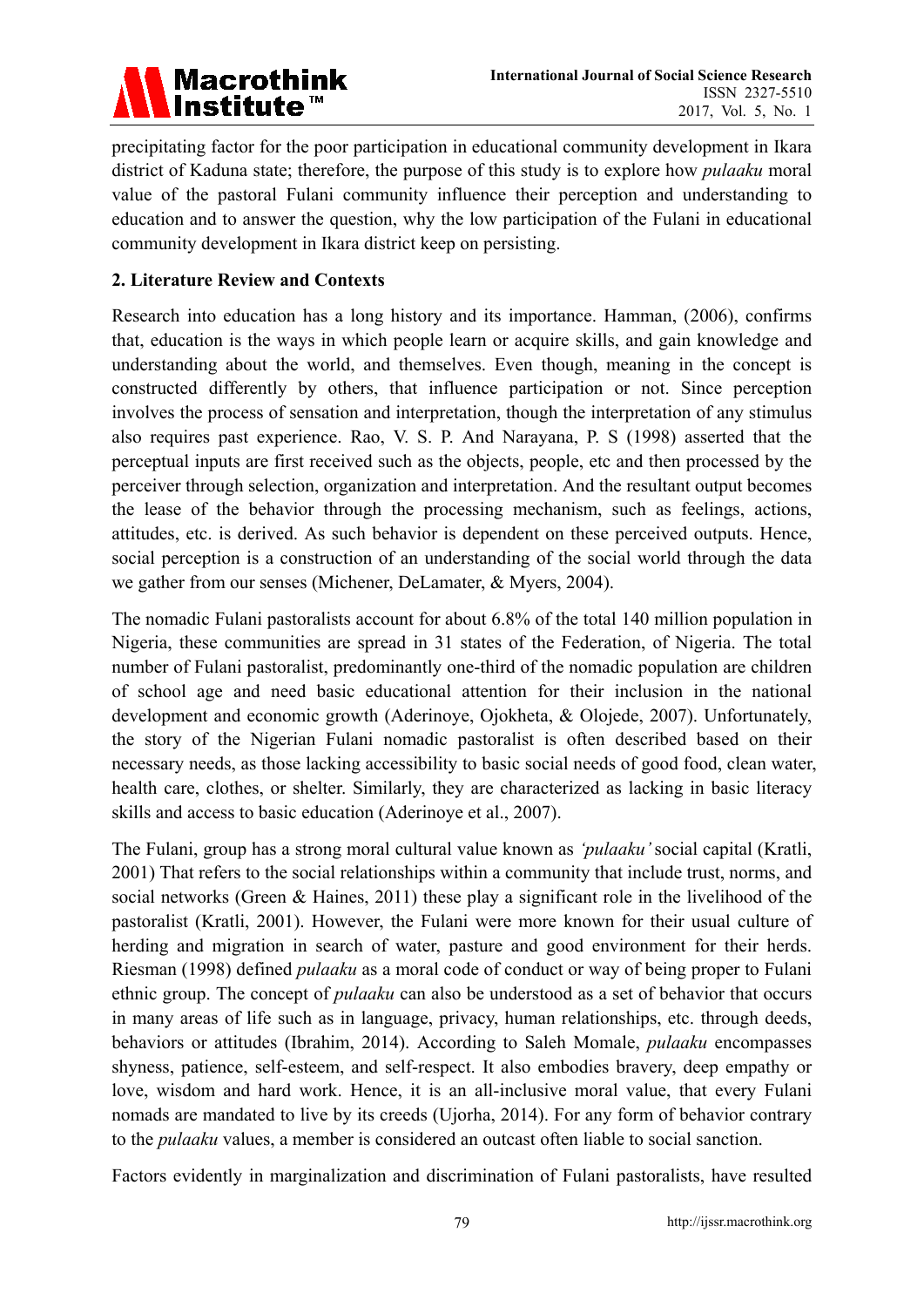

precipitating factor for the poor participation in educational community development in Ikara district of Kaduna state; therefore, the purpose of this study is to explore how *pulaaku* moral value of the pastoral Fulani community influence their perception and understanding to education and to answer the question, why the low participation of the Fulani in educational community development in Ikara district keep on persisting.

# **2. Literature Review and Contexts**

Research into education has a long history and its importance. Hamman, (2006), confirms that, education is the ways in which people learn or acquire skills, and gain knowledge and understanding about the world, and themselves. Even though, meaning in the concept is constructed differently by others, that influence participation or not. Since perception involves the process of sensation and interpretation, though the interpretation of any stimulus also requires past experience. Rao, V. S. P. And Narayana, P. S (1998) asserted that the perceptual inputs are first received such as the objects, people, etc and then processed by the perceiver through selection, organization and interpretation. And the resultant output becomes the lease of the behavior through the processing mechanism, such as feelings, actions, attitudes, etc. is derived. As such behavior is dependent on these perceived outputs. Hence, social perception is a construction of an understanding of the social world through the data we gather from our senses (Michener, DeLamater, & Myers, 2004).

The nomadic Fulani pastoralists account for about 6.8% of the total 140 million population in Nigeria, these communities are spread in 31 states of the Federation, of Nigeria. The total number of Fulani pastoralist, predominantly one-third of the nomadic population are children of school age and need basic educational attention for their inclusion in the national development and economic growth (Aderinoye, Ojokheta, & Olojede, 2007). Unfortunately, the story of the Nigerian Fulani nomadic pastoralist is often described based on their necessary needs, as those lacking accessibility to basic social needs of good food, clean water, health care, clothes, or shelter. Similarly, they are characterized as lacking in basic literacy skills and access to basic education (Aderinoye et al., 2007).

The Fulani, group has a strong moral cultural value known as *'pulaaku'* social capital (Kratli, 2001) That refers to the social relationships within a community that include trust, norms, and social networks (Green & Haines, 2011) these play a significant role in the livelihood of the pastoralist (Kratli, 2001). However, the Fulani were more known for their usual culture of herding and migration in search of water, pasture and good environment for their herds. Riesman (1998) defined *pulaaku* as a moral code of conduct or way of being proper to Fulani ethnic group. The concept of *pulaaku* can also be understood as a set of behavior that occurs in many areas of life such as in language, privacy, human relationships, etc. through deeds, behaviors or attitudes (Ibrahim, 2014). According to Saleh Momale, *pulaaku* encompasses shyness, patience, self-esteem, and self-respect. It also embodies bravery, deep empathy or love, wisdom and hard work. Hence, it is an all-inclusive moral value, that every Fulani nomads are mandated to live by its creeds (Ujorha, 2014). For any form of behavior contrary to the *pulaaku* values, a member is considered an outcast often liable to social sanction.

Factors evidently in marginalization and discrimination of Fulani pastoralists, have resulted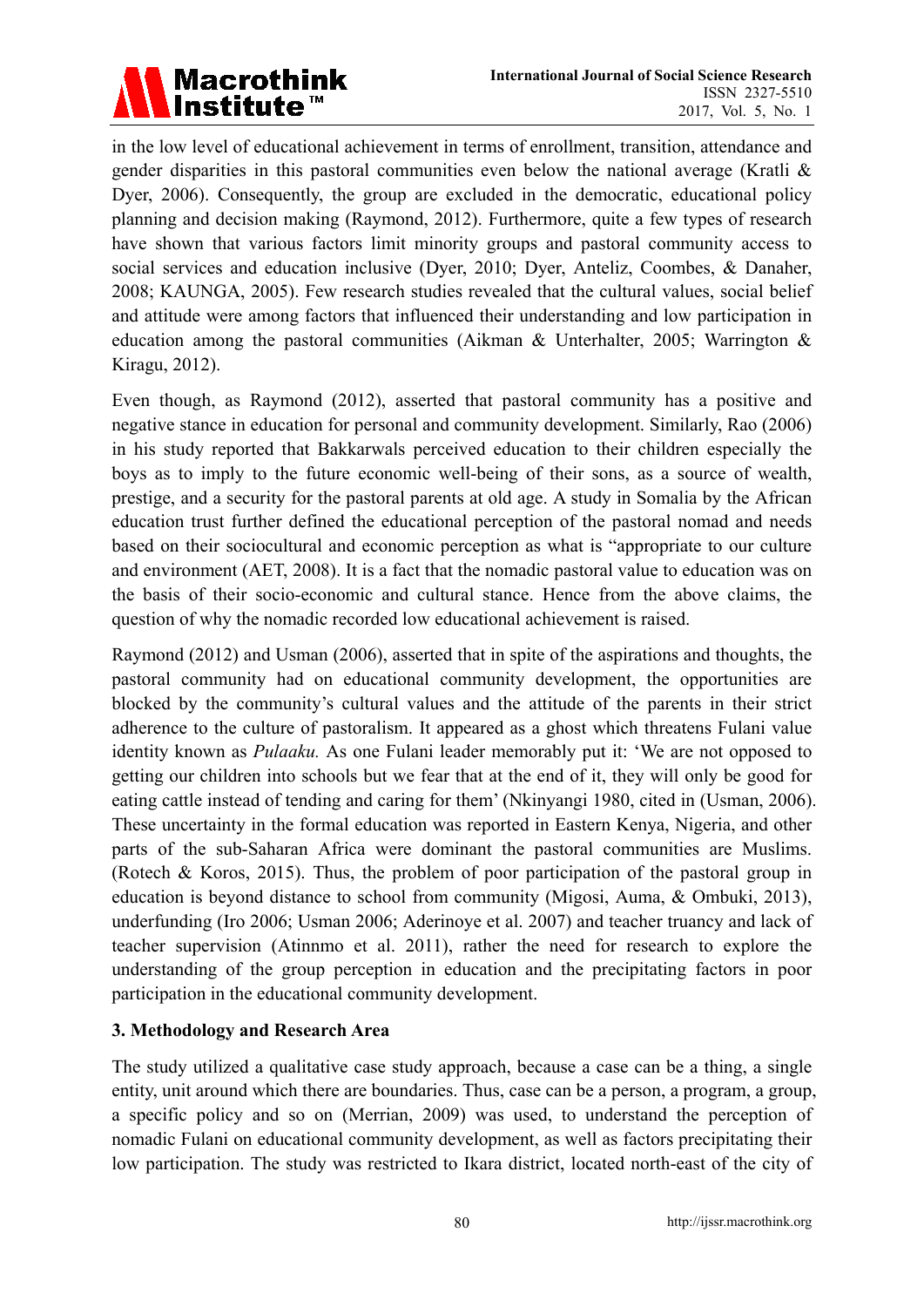

in the low level of educational achievement in terms of enrollment, transition, attendance and gender disparities in this pastoral communities even below the national average (Kratli  $\&$ Dyer, 2006). Consequently, the group are excluded in the democratic, educational policy planning and decision making (Raymond, 2012). Furthermore, quite a few types of research have shown that various factors limit minority groups and pastoral community access to social services and education inclusive (Dyer, 2010; Dyer, Anteliz, Coombes, & Danaher, 2008; KAUNGA, 2005). Few research studies revealed that the cultural values, social belief and attitude were among factors that influenced their understanding and low participation in education among the pastoral communities (Aikman & Unterhalter, 2005; Warrington & Kiragu, 2012).

Even though, as Raymond (2012), asserted that pastoral community has a positive and negative stance in education for personal and community development. Similarly, Rao (2006) in his study reported that Bakkarwals perceived education to their children especially the boys as to imply to the future economic well-being of their sons, as a source of wealth, prestige, and a security for the pastoral parents at old age. A study in Somalia by the African education trust further defined the educational perception of the pastoral nomad and needs based on their sociocultural and economic perception as what is "appropriate to our culture and environment (AET, 2008). It is a fact that the nomadic pastoral value to education was on the basis of their socio-economic and cultural stance. Hence from the above claims, the question of why the nomadic recorded low educational achievement is raised.

Raymond (2012) and Usman (2006), asserted that in spite of the aspirations and thoughts, the pastoral community had on educational community development, the opportunities are blocked by the community's cultural values and the attitude of the parents in their strict adherence to the culture of pastoralism. It appeared as a ghost which threatens Fulani value identity known as *Pulaaku.* As one Fulani leader memorably put it: 'We are not opposed to getting our children into schools but we fear that at the end of it, they will only be good for eating cattle instead of tending and caring for them' (Nkinyangi 1980, cited in (Usman, 2006). These uncertainty in the formal education was reported in Eastern Kenya, Nigeria, and other parts of the sub-Saharan Africa were dominant the pastoral communities are Muslims. (Rotech & Koros, 2015). Thus, the problem of poor participation of the pastoral group in education is beyond distance to school from community (Migosi, Auma, & Ombuki, 2013), underfunding (Iro 2006; Usman 2006; Aderinoye et al. 2007) and teacher truancy and lack of teacher supervision (Atinnmo et al. 2011), rather the need for research to explore the understanding of the group perception in education and the precipitating factors in poor participation in the educational community development.

# **3. Methodology and Research Area**

The study utilized a qualitative case study approach, because a case can be a thing, a single entity, unit around which there are boundaries. Thus, case can be a person, a program, a group, a specific policy and so on (Merrian, 2009) was used, to understand the perception of nomadic Fulani on educational community development, as well as factors precipitating their low participation. The study was restricted to Ikara district, located north-east of the city of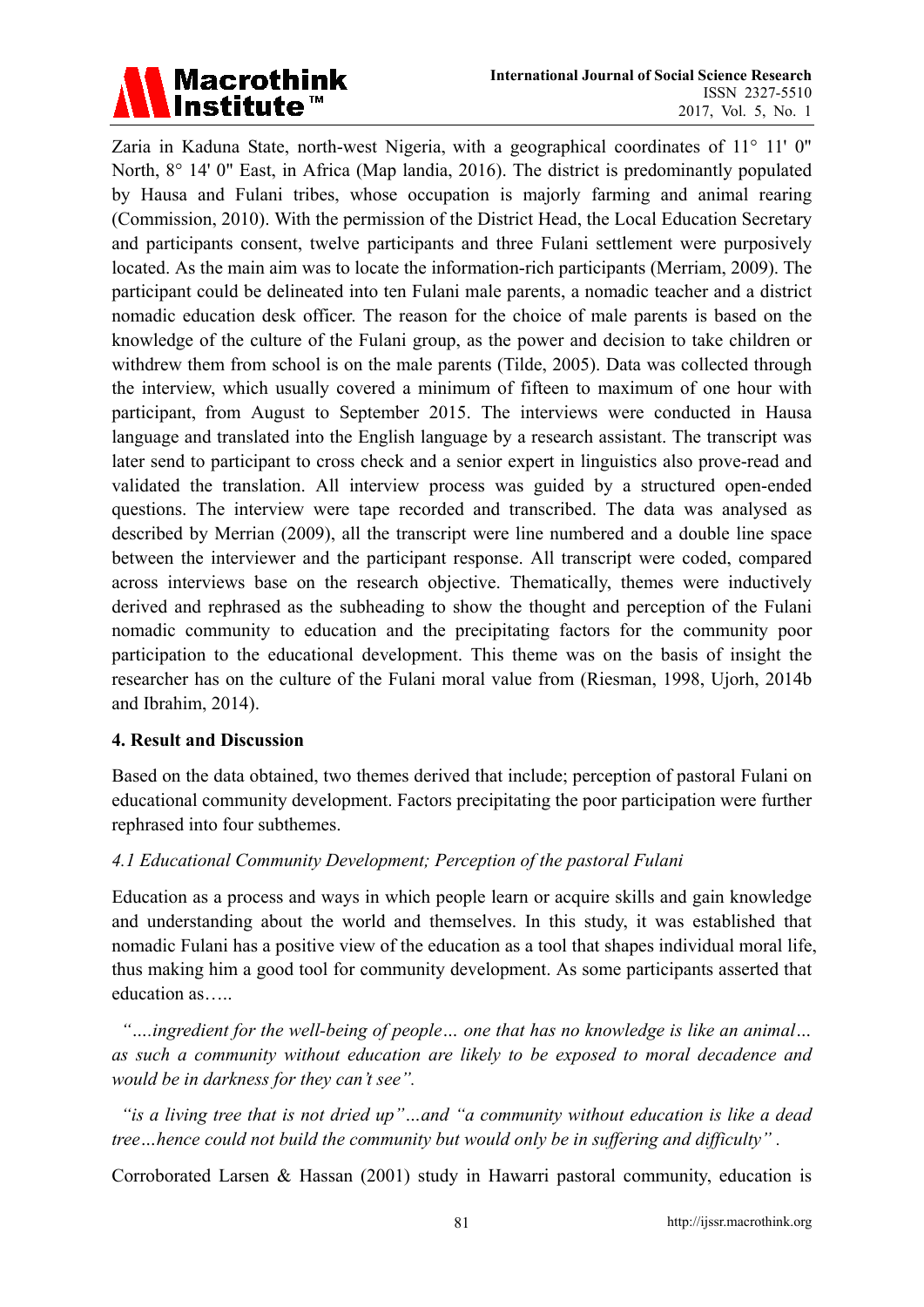

Zaria in Kaduna State, north-west Nigeria, with a geographical coordinates of 11° 11' 0" North, 8° 14' 0" East, in Africa (Map landia, 2016). The district is predominantly populated by Hausa and Fulani tribes, whose occupation is majorly farming and animal rearing (Commission, 2010). With the permission of the District Head, the Local Education Secretary and participants consent, twelve participants and three Fulani settlement were purposively located. As the main aim was to locate the information-rich participants (Merriam, 2009). The participant could be delineated into ten Fulani male parents, a nomadic teacher and a district nomadic education desk officer. The reason for the choice of male parents is based on the knowledge of the culture of the Fulani group, as the power and decision to take children or withdrew them from school is on the male parents (Tilde, 2005). Data was collected through the interview, which usually covered a minimum of fifteen to maximum of one hour with participant, from August to September 2015. The interviews were conducted in Hausa language and translated into the English language by a research assistant. The transcript was later send to participant to cross check and a senior expert in linguistics also prove-read and validated the translation. All interview process was guided by a structured open-ended questions. The interview were tape recorded and transcribed. The data was analysed as described by Merrian (2009), all the transcript were line numbered and a double line space between the interviewer and the participant response. All transcript were coded, compared across interviews base on the research objective. Thematically, themes were inductively derived and rephrased as the subheading to show the thought and perception of the Fulani nomadic community to education and the precipitating factors for the community poor participation to the educational development. This theme was on the basis of insight the researcher has on the culture of the Fulani moral value from (Riesman, 1998, Ujorh, 2014b and Ibrahim, 2014).

# **4. Result and Discussion**

Based on the data obtained, two themes derived that include; perception of pastoral Fulani on educational community development. Factors precipitating the poor participation were further rephrased into four subthemes.

# *4.1 Educational Community Development; Perception of the pastoral Fulani*

Education as a process and ways in which people learn or acquire skills and gain knowledge and understanding about the world and themselves. In this study, it was established that nomadic Fulani has a positive view of the education as a tool that shapes individual moral life, thus making him a good tool for community development. As some participants asserted that education as…..

 *"….ingredient for the well-being of people… one that has no knowledge is like an animal… as such a community without education are likely to be exposed to moral decadence and would be in darkness for they can't see".* 

 *"is a living tree that is not dried up"…and "a community without education is like a dead tree…hence could not build the community but would only be in suffering and difficulty" .* 

Corroborated Larsen & Hassan (2001) study in Hawarri pastoral community, education is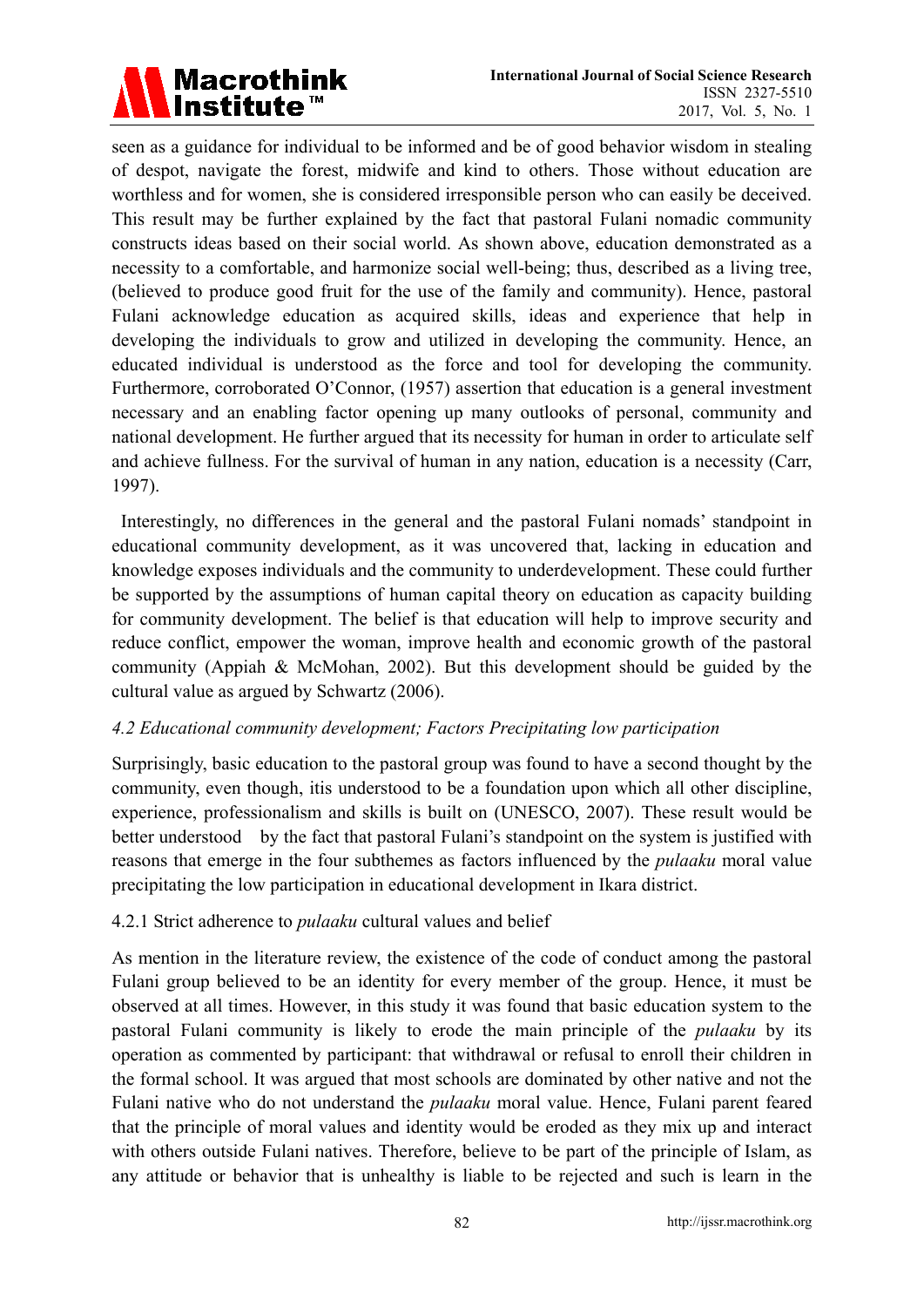

seen as a guidance for individual to be informed and be of good behavior wisdom in stealing of despot, navigate the forest, midwife and kind to others. Those without education are worthless and for women, she is considered irresponsible person who can easily be deceived. This result may be further explained by the fact that pastoral Fulani nomadic community constructs ideas based on their social world. As shown above, education demonstrated as a necessity to a comfortable, and harmonize social well-being; thus, described as a living tree, (believed to produce good fruit for the use of the family and community). Hence, pastoral Fulani acknowledge education as acquired skills, ideas and experience that help in developing the individuals to grow and utilized in developing the community. Hence, an educated individual is understood as the force and tool for developing the community. Furthermore, corroborated O'Connor, (1957) assertion that education is a general investment necessary and an enabling factor opening up many outlooks of personal, community and national development. He further argued that its necessity for human in order to articulate self and achieve fullness. For the survival of human in any nation, education is a necessity (Carr, 1997).

 Interestingly, no differences in the general and the pastoral Fulani nomads' standpoint in educational community development, as it was uncovered that, lacking in education and knowledge exposes individuals and the community to underdevelopment. These could further be supported by the assumptions of human capital theory on education as capacity building for community development. The belief is that education will help to improve security and reduce conflict, empower the woman, improve health and economic growth of the pastoral community (Appiah & McMohan, 2002). But this development should be guided by the cultural value as argued by Schwartz (2006).

# *4.2 Educational community development; Factors Precipitating low participation*

Surprisingly, basic education to the pastoral group was found to have a second thought by the community, even though, itis understood to be a foundation upon which all other discipline, experience, professionalism and skills is built on (UNESCO, 2007). These result would be better understood by the fact that pastoral Fulani's standpoint on the system is justified with reasons that emerge in the four subthemes as factors influenced by the *pulaaku* moral value precipitating the low participation in educational development in Ikara district.

#### 4.2.1 Strict adherence to *pulaaku* cultural values and belief

As mention in the literature review, the existence of the code of conduct among the pastoral Fulani group believed to be an identity for every member of the group. Hence, it must be observed at all times. However, in this study it was found that basic education system to the pastoral Fulani community is likely to erode the main principle of the *pulaaku* by its operation as commented by participant: that withdrawal or refusal to enroll their children in the formal school. It was argued that most schools are dominated by other native and not the Fulani native who do not understand the *pulaaku* moral value. Hence, Fulani parent feared that the principle of moral values and identity would be eroded as they mix up and interact with others outside Fulani natives. Therefore, believe to be part of the principle of Islam, as any attitude or behavior that is unhealthy is liable to be rejected and such is learn in the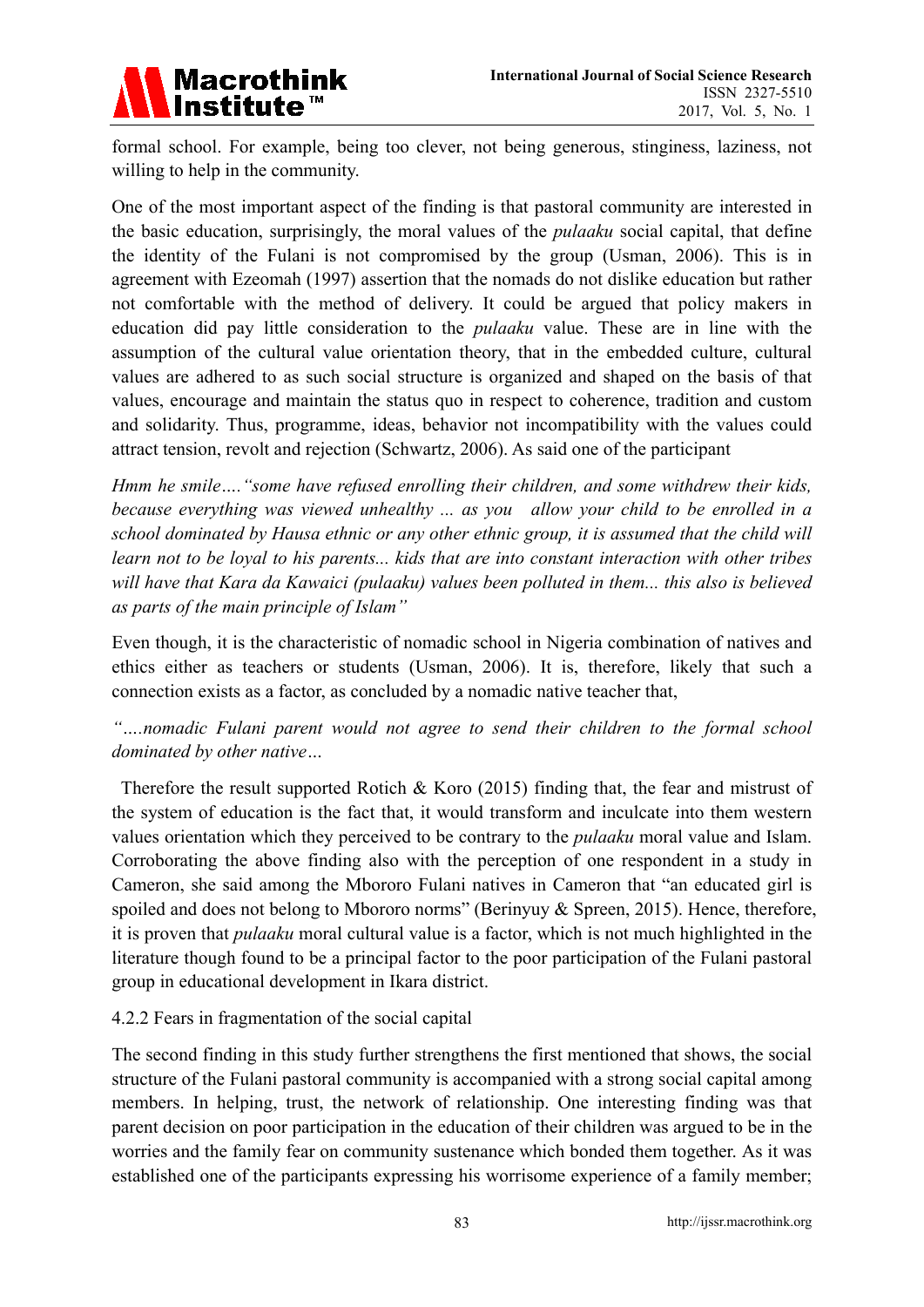

formal school. For example, being too clever, not being generous, stinginess, laziness, not willing to help in the community.

One of the most important aspect of the finding is that pastoral community are interested in the basic education, surprisingly, the moral values of the *pulaaku* social capital, that define the identity of the Fulani is not compromised by the group (Usman, 2006). This is in agreement with Ezeomah (1997) assertion that the nomads do not dislike education but rather not comfortable with the method of delivery. It could be argued that policy makers in education did pay little consideration to the *pulaaku* value. These are in line with the assumption of the cultural value orientation theory, that in the embedded culture, cultural values are adhered to as such social structure is organized and shaped on the basis of that values, encourage and maintain the status quo in respect to coherence, tradition and custom and solidarity. Thus, programme, ideas, behavior not incompatibility with the values could attract tension, revolt and rejection (Schwartz, 2006). As said one of the participant

*Hmm he smile…."some have refused enrolling their children, and some withdrew their kids, because everything was viewed unhealthy ... as you allow your child to be enrolled in a school dominated by Hausa ethnic or any other ethnic group, it is assumed that the child will learn not to be loyal to his parents... kids that are into constant interaction with other tribes will have that Kara da Kawaici (pulaaku) values been polluted in them... this also is believed as parts of the main principle of Islam"* 

Even though, it is the characteristic of nomadic school in Nigeria combination of natives and ethics either as teachers or students (Usman, 2006). It is, therefore, likely that such a connection exists as a factor, as concluded by a nomadic native teacher that,

*"….nomadic Fulani parent would not agree to send their children to the formal school dominated by other native…* 

Therefore the result supported Rotich & Koro (2015) finding that, the fear and mistrust of the system of education is the fact that, it would transform and inculcate into them western values orientation which they perceived to be contrary to the *pulaaku* moral value and Islam. Corroborating the above finding also with the perception of one respondent in a study in Cameron, she said among the Mbororo Fulani natives in Cameron that "an educated girl is spoiled and does not belong to Mbororo norms" (Berinyuy & Spreen, 2015). Hence, therefore, it is proven that *pulaaku* moral cultural value is a factor, which is not much highlighted in the literature though found to be a principal factor to the poor participation of the Fulani pastoral group in educational development in Ikara district.

4.2.2 Fears in fragmentation of the social capital

The second finding in this study further strengthens the first mentioned that shows, the social structure of the Fulani pastoral community is accompanied with a strong social capital among members. In helping, trust, the network of relationship. One interesting finding was that parent decision on poor participation in the education of their children was argued to be in the worries and the family fear on community sustenance which bonded them together. As it was established one of the participants expressing his worrisome experience of a family member;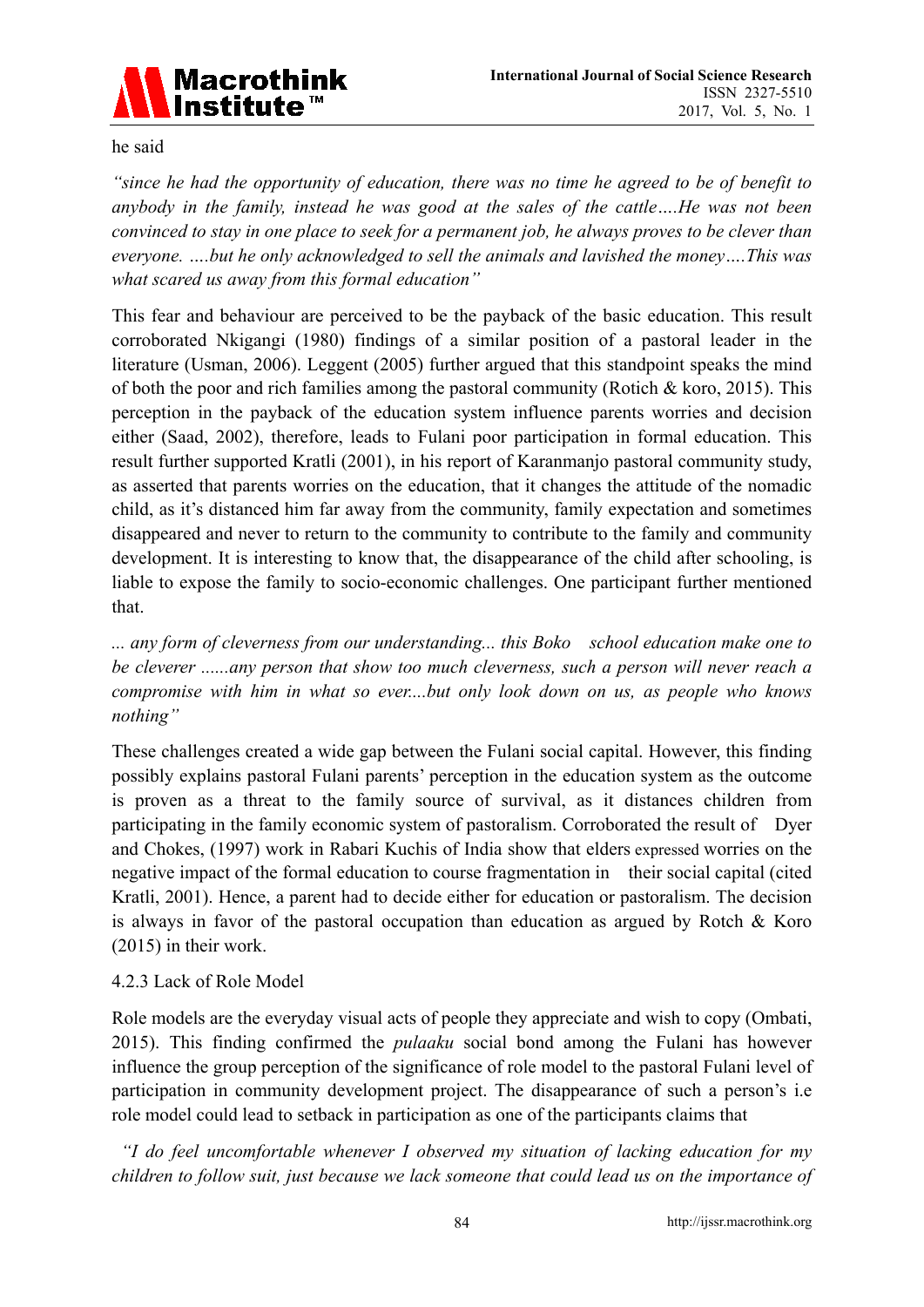

he said

*"since he had the opportunity of education, there was no time he agreed to be of benefit to anybody in the family, instead he was good at the sales of the cattle….He was not been convinced to stay in one place to seek for a permanent job, he always proves to be clever than everyone. ….but he only acknowledged to sell the animals and lavished the money….This was what scared us away from this formal education"* 

This fear and behaviour are perceived to be the payback of the basic education. This result corroborated Nkigangi (1980) findings of a similar position of a pastoral leader in the literature (Usman, 2006). Leggent (2005) further argued that this standpoint speaks the mind of both the poor and rich families among the pastoral community (Rotich  $& k$  koro, 2015). This perception in the payback of the education system influence parents worries and decision either (Saad, 2002), therefore, leads to Fulani poor participation in formal education. This result further supported Kratli (2001), in his report of Karanmanjo pastoral community study, as asserted that parents worries on the education, that it changes the attitude of the nomadic child, as it's distanced him far away from the community, family expectation and sometimes disappeared and never to return to the community to contribute to the family and community development. It is interesting to know that, the disappearance of the child after schooling, is liable to expose the family to socio-economic challenges. One participant further mentioned that.

*... any form of cleverness from our understanding... this Boko school education make one to be cleverer ......any person that show too much cleverness, such a person will never reach a compromise with him in what so ever....but only look down on us, as people who knows nothing"* 

These challenges created a wide gap between the Fulani social capital. However, this finding possibly explains pastoral Fulani parents' perception in the education system as the outcome is proven as a threat to the family source of survival, as it distances children from participating in the family economic system of pastoralism. Corroborated the result of Dyer and Chokes, (1997) work in Rabari Kuchis of India show that elders expressed worries on the negative impact of the formal education to course fragmentation in their social capital (cited Kratli, 2001). Hence, a parent had to decide either for education or pastoralism. The decision is always in favor of the pastoral occupation than education as argued by Rotch & Koro (2015) in their work.

# 4.2.3 Lack of Role Model

Role models are the everyday visual acts of people they appreciate and wish to copy (Ombati, 2015). This finding confirmed the *pulaaku* social bond among the Fulani has however influence the group perception of the significance of role model to the pastoral Fulani level of participation in community development project. The disappearance of such a person's i.e role model could lead to setback in participation as one of the participants claims that

 *"I do feel uncomfortable whenever I observed my situation of lacking education for my children to follow suit, just because we lack someone that could lead us on the importance of*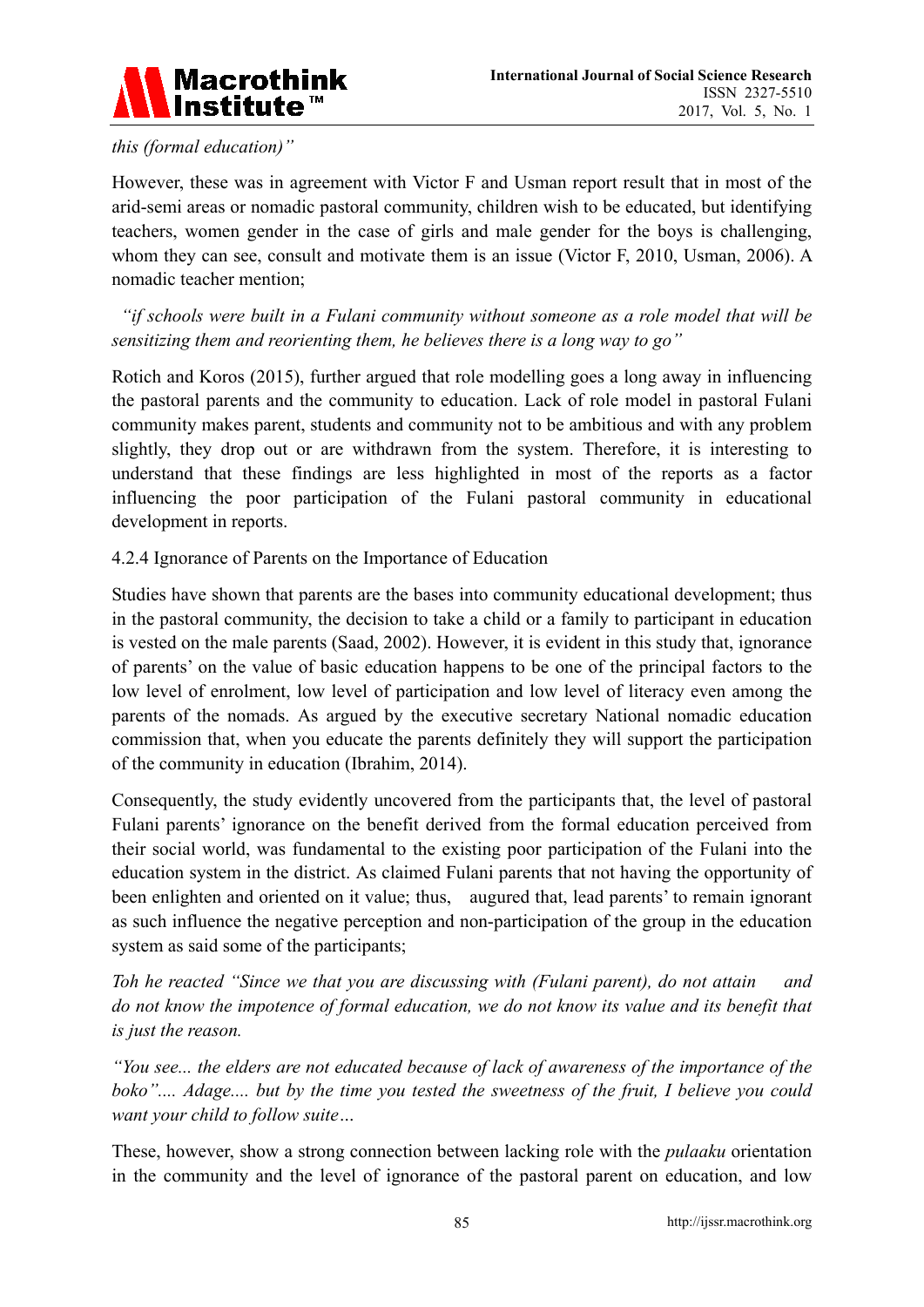

# *this (formal education)"*

However, these was in agreement with Victor F and Usman report result that in most of the arid-semi areas or nomadic pastoral community, children wish to be educated, but identifying teachers, women gender in the case of girls and male gender for the boys is challenging, whom they can see, consult and motivate them is an issue (Victor F, 2010, Usman, 2006). A nomadic teacher mention;

 *"if schools were built in a Fulani community without someone as a role model that will be sensitizing them and reorienting them, he believes there is a long way to go"* 

Rotich and Koros (2015), further argued that role modelling goes a long away in influencing the pastoral parents and the community to education. Lack of role model in pastoral Fulani community makes parent, students and community not to be ambitious and with any problem slightly, they drop out or are withdrawn from the system. Therefore, it is interesting to understand that these findings are less highlighted in most of the reports as a factor influencing the poor participation of the Fulani pastoral community in educational development in reports.

#### 4.2.4 Ignorance of Parents on the Importance of Education

Studies have shown that parents are the bases into community educational development; thus in the pastoral community, the decision to take a child or a family to participant in education is vested on the male parents (Saad, 2002). However, it is evident in this study that, ignorance of parents' on the value of basic education happens to be one of the principal factors to the low level of enrolment, low level of participation and low level of literacy even among the parents of the nomads. As argued by the executive secretary National nomadic education commission that, when you educate the parents definitely they will support the participation of the community in education (Ibrahim, 2014).

Consequently, the study evidently uncovered from the participants that, the level of pastoral Fulani parents' ignorance on the benefit derived from the formal education perceived from their social world, was fundamental to the existing poor participation of the Fulani into the education system in the district. As claimed Fulani parents that not having the opportunity of been enlighten and oriented on it value; thus, augured that, lead parents' to remain ignorant as such influence the negative perception and non-participation of the group in the education system as said some of the participants;

*Toh he reacted "Since we that you are discussing with (Fulani parent), do not attain and do not know the impotence of formal education, we do not know its value and its benefit that is just the reason.* 

*"You see... the elders are not educated because of lack of awareness of the importance of the boko".... Adage.... but by the time you tested the sweetness of the fruit, I believe you could want your child to follow suite…* 

These, however, show a strong connection between lacking role with the *pulaaku* orientation in the community and the level of ignorance of the pastoral parent on education, and low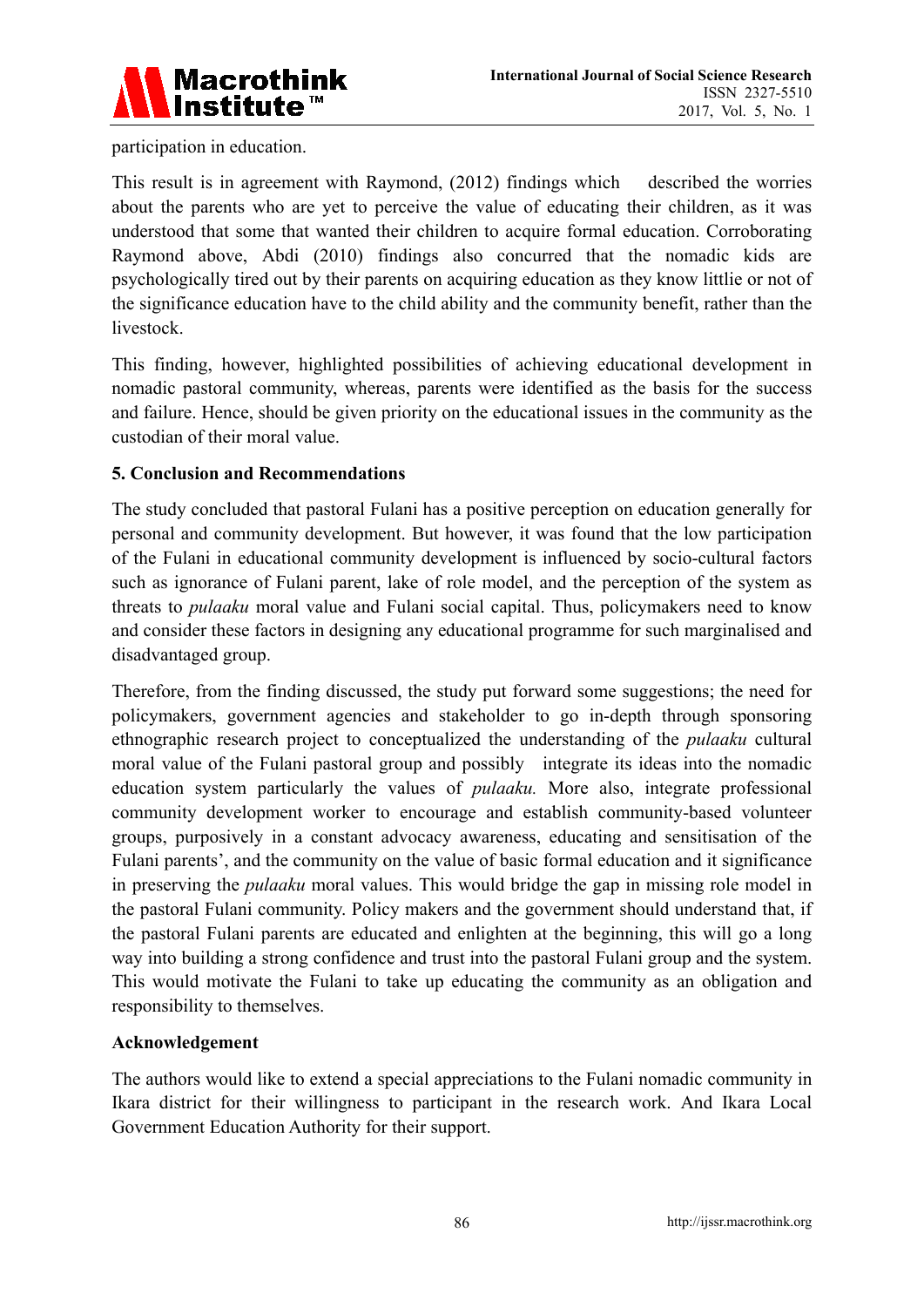

participation in education.

This result is in agreement with Raymond, (2012) findings which described the worries about the parents who are yet to perceive the value of educating their children, as it was understood that some that wanted their children to acquire formal education. Corroborating Raymond above, Abdi (2010) findings also concurred that the nomadic kids are psychologically tired out by their parents on acquiring education as they know littlie or not of the significance education have to the child ability and the community benefit, rather than the livestock.

This finding, however, highlighted possibilities of achieving educational development in nomadic pastoral community, whereas, parents were identified as the basis for the success and failure. Hence, should be given priority on the educational issues in the community as the custodian of their moral value.

# **5. Conclusion and Recommendations**

The study concluded that pastoral Fulani has a positive perception on education generally for personal and community development. But however, it was found that the low participation of the Fulani in educational community development is influenced by socio-cultural factors such as ignorance of Fulani parent, lake of role model, and the perception of the system as threats to *pulaaku* moral value and Fulani social capital. Thus, policymakers need to know and consider these factors in designing any educational programme for such marginalised and disadvantaged group.

Therefore, from the finding discussed, the study put forward some suggestions; the need for policymakers, government agencies and stakeholder to go in-depth through sponsoring ethnographic research project to conceptualized the understanding of the *pulaaku* cultural moral value of the Fulani pastoral group and possibly integrate its ideas into the nomadic education system particularly the values of *pulaaku.* More also, integrate professional community development worker to encourage and establish community-based volunteer groups, purposively in a constant advocacy awareness, educating and sensitisation of the Fulani parents', and the community on the value of basic formal education and it significance in preserving the *pulaaku* moral values. This would bridge the gap in missing role model in the pastoral Fulani community. Policy makers and the government should understand that, if the pastoral Fulani parents are educated and enlighten at the beginning, this will go a long way into building a strong confidence and trust into the pastoral Fulani group and the system. This would motivate the Fulani to take up educating the community as an obligation and responsibility to themselves.

# **Acknowledgement**

The authors would like to extend a special appreciations to the Fulani nomadic community in Ikara district for their willingness to participant in the research work. And Ikara Local Government Education Authority for their support.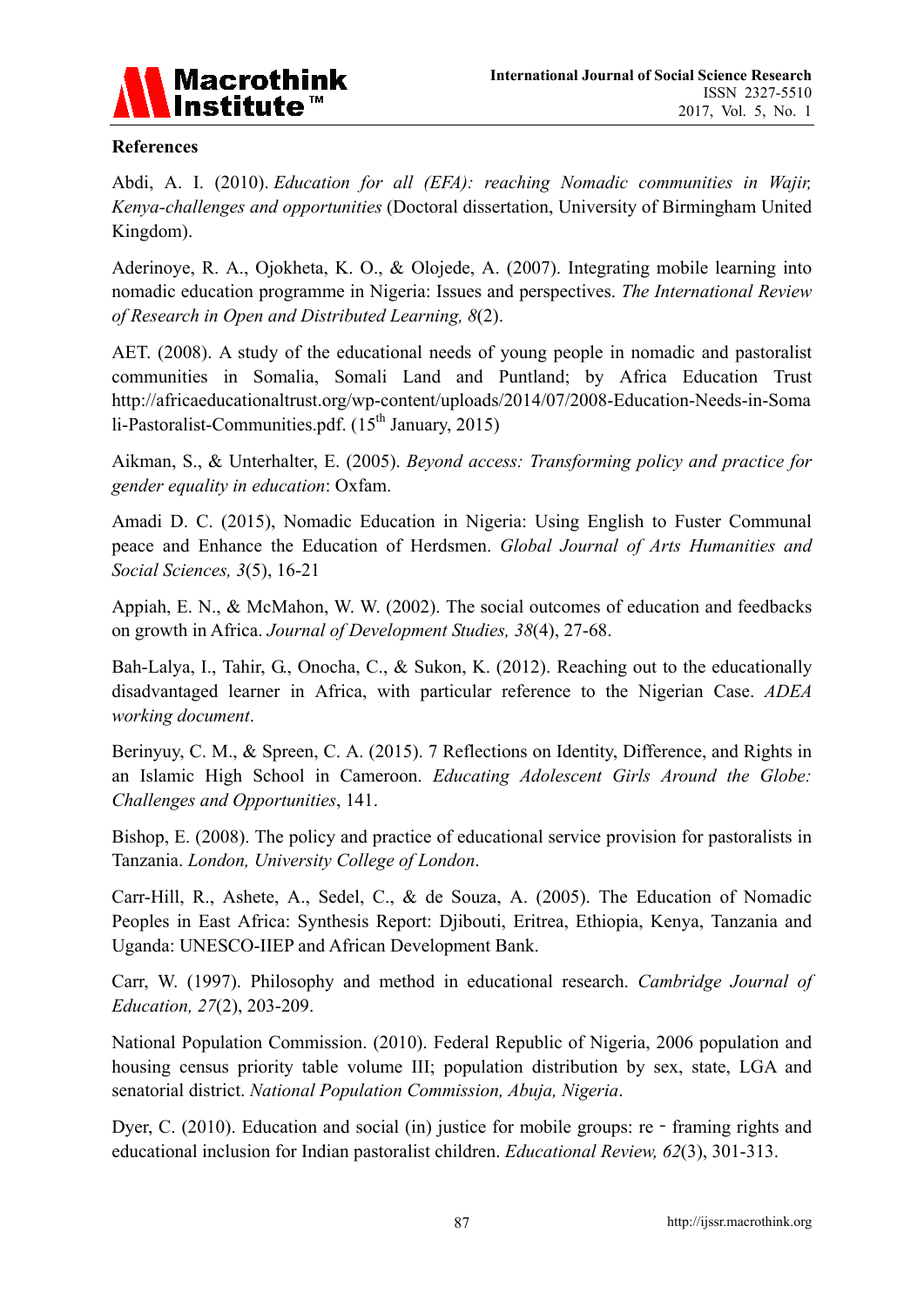

# **References**

Abdi, A. I. (2010). *Education for all (EFA): reaching Nomadic communities in Wajir, Kenya-challenges and opportunities* (Doctoral dissertation, University of Birmingham United Kingdom).

Aderinoye, R. A., Ojokheta, K. O., & Olojede, A. (2007). Integrating mobile learning into nomadic education programme in Nigeria: Issues and perspectives. *The International Review of Research in Open and Distributed Learning, 8*(2).

AET. (2008). A study of the educational needs of young people in nomadic and pastoralist communities in Somalia, Somali Land and Puntland; by Africa Education Trust http://africaeducationaltrust.org/wp-content/uploads/2014/07/2008-Education-Needs-in-Soma li-Pastoralist-Communities.pdf.  $(15<sup>th</sup> January, 2015)$ 

Aikman, S., & Unterhalter, E. (2005). *Beyond access: Transforming policy and practice for gender equality in education*: Oxfam.

Amadi D. C. (2015), Nomadic Education in Nigeria: Using English to Fuster Communal peace and Enhance the Education of Herdsmen. *Global Journal of Arts Humanities and Social Sciences, 3*(5), 16-21

Appiah, E. N., & McMahon, W. W. (2002). The social outcomes of education and feedbacks on growth in Africa. *Journal of Development Studies, 38*(4), 27-68.

Bah-Lalya, I., Tahir, G., Onocha, C., & Sukon, K. (2012). Reaching out to the educationally disadvantaged learner in Africa, with particular reference to the Nigerian Case. *ADEA working document*.

Berinyuy, C. M., & Spreen, C. A. (2015). 7 Reflections on Identity, Difference, and Rights in an Islamic High School in Cameroon. *Educating Adolescent Girls Around the Globe: Challenges and Opportunities*, 141.

Bishop, E. (2008). The policy and practice of educational service provision for pastoralists in Tanzania. *London, University College of London*.

Carr-Hill, R., Ashete, A., Sedel, C., & de Souza, A. (2005). The Education of Nomadic Peoples in East Africa: Synthesis Report: Djibouti, Eritrea, Ethiopia, Kenya, Tanzania and Uganda: UNESCO-IIEP and African Development Bank.

Carr, W. (1997). Philosophy and method in educational research. *Cambridge Journal of Education, 27*(2), 203-209.

National Population Commission. (2010). Federal Republic of Nigeria, 2006 population and housing census priority table volume III; population distribution by sex, state, LGA and senatorial district. *National Population Commission, Abuja, Nigeria*.

Dyer, C. (2010). Education and social (in) justice for mobile groups:  $re$  - framing rights and educational inclusion for Indian pastoralist children. *Educational Review, 62*(3), 301-313.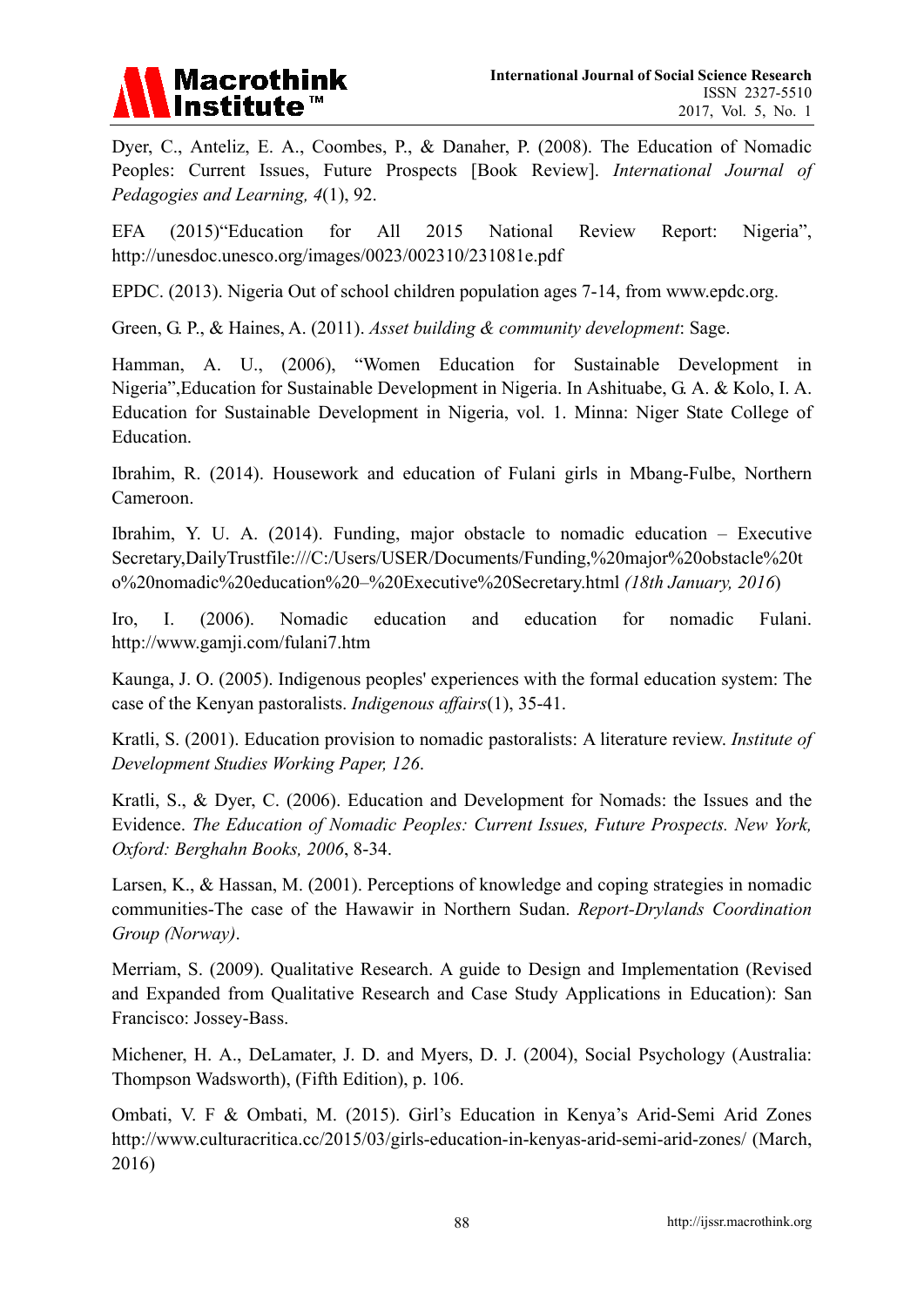

Dyer, C., Anteliz, E. A., Coombes, P., & Danaher, P. (2008). The Education of Nomadic Peoples: Current Issues, Future Prospects [Book Review]. *International Journal of Pedagogies and Learning, 4*(1), 92.

EFA (2015)"Education for All 2015 National Review Report: Nigeria", http://unesdoc.unesco.org/images/0023/002310/231081e.pdf

EPDC. (2013). Nigeria Out of school children population ages 7-14, from www.epdc.org.

Green, G. P., & Haines, A. (2011). *Asset building & community development*: Sage.

Hamman, A. U., (2006), "Women Education for Sustainable Development in Nigeria",Education for Sustainable Development in Nigeria. In Ashituabe, G. A. & Kolo, I. A. Education for Sustainable Development in Nigeria, vol. 1. Minna: Niger State College of Education.

Ibrahim, R. (2014). Housework and education of Fulani girls in Mbang-Fulbe, Northern Cameroon.

Ibrahim, Y. U. A. (2014). Funding, major obstacle to nomadic education – Executive Secretary,DailyTrustfile:///C:/Users/USER/Documents/Funding,%20major%20obstacle%20t o%20nomadic%20education%20–%20Executive%20Secretary.html *(18th January, 2016*)

Iro, I. (2006). Nomadic education and education for nomadic Fulani. http://www.gamji.com/fulani7.htm

Kaunga, J. O. (2005). Indigenous peoples' experiences with the formal education system: The case of the Kenyan pastoralists. *Indigenous affairs*(1), 35-41.

Kratli, S. (2001). Education provision to nomadic pastoralists: A literature review. *Institute of Development Studies Working Paper, 126*.

Kratli, S., & Dyer, C. (2006). Education and Development for Nomads: the Issues and the Evidence. *The Education of Nomadic Peoples: Current Issues, Future Prospects. New York, Oxford: Berghahn Books, 2006*, 8-34.

Larsen, K., & Hassan, M. (2001). Perceptions of knowledge and coping strategies in nomadic communities-The case of the Hawawir in Northern Sudan. *Report-Drylands Coordination Group (Norway)*.

Merriam, S. (2009). Qualitative Research. A guide to Design and Implementation (Revised and Expanded from Qualitative Research and Case Study Applications in Education): San Francisco: Jossey-Bass.

Michener, H. A., DeLamater, J. D. and Myers, D. J. (2004), Social Psychology (Australia: Thompson Wadsworth), (Fifth Edition), p. 106.

Ombati, V. F & Ombati, M. (2015). Girl's Education in Kenya's Arid-Semi Arid Zones http://www.culturacritica.cc/2015/03/girls-education-in-kenyas-arid-semi-arid-zones/ (March, 2016)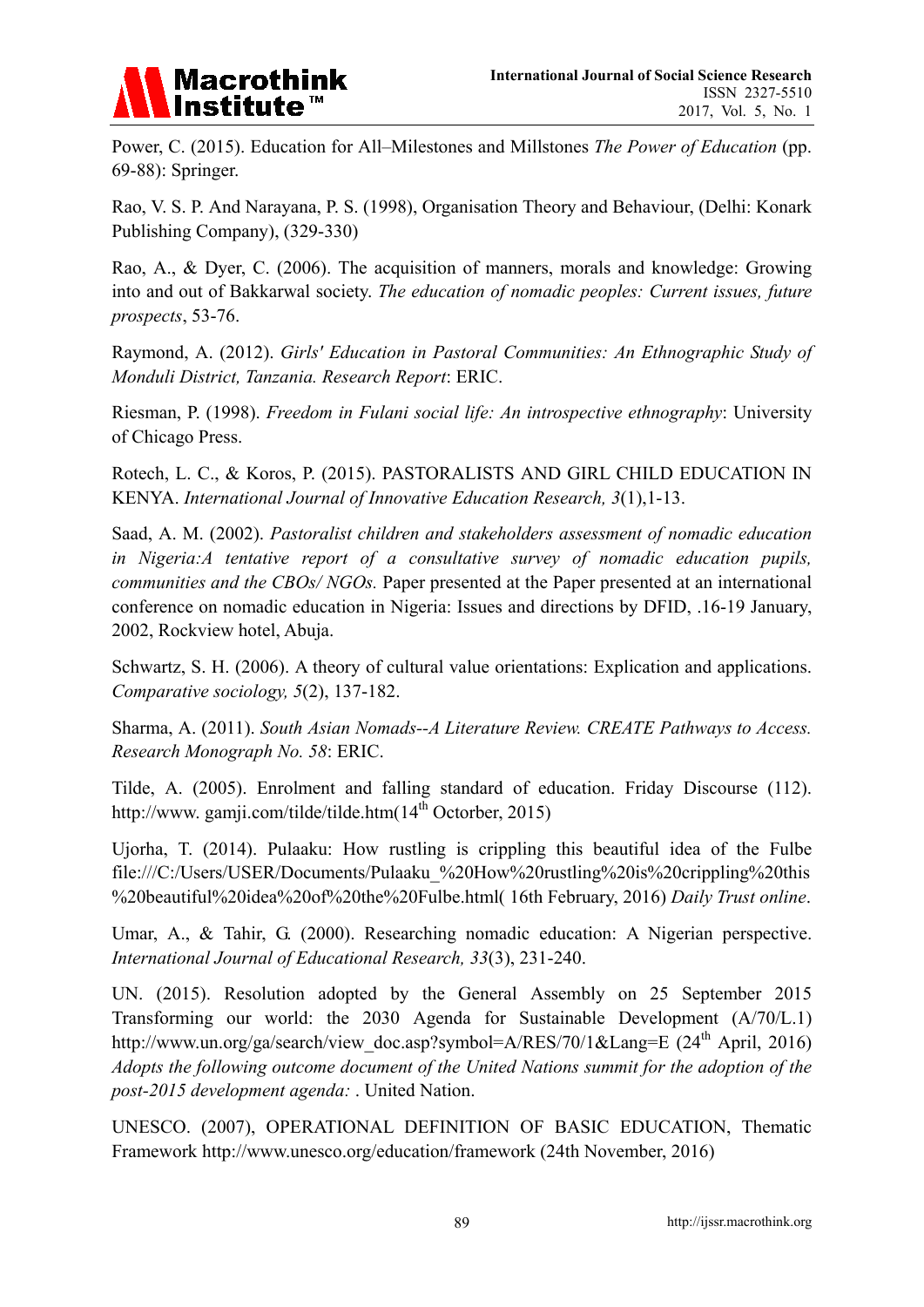

Power, C. (2015). Education for All–Milestones and Millstones *The Power of Education* (pp. 69-88): Springer.

Rao, V. S. P. And Narayana, P. S. (1998), Organisation Theory and Behaviour, (Delhi: Konark Publishing Company), (329-330)

Rao, A., & Dyer, C. (2006). The acquisition of manners, morals and knowledge: Growing into and out of Bakkarwal society. *The education of nomadic peoples: Current issues, future prospects*, 53-76.

Raymond, A. (2012). *Girls' Education in Pastoral Communities: An Ethnographic Study of Monduli District, Tanzania. Research Report*: ERIC.

Riesman, P. (1998). *Freedom in Fulani social life: An introspective ethnography*: University of Chicago Press.

Rotech, L. C., & Koros, P. (2015). PASTORALISTS AND GIRL CHILD EDUCATION IN KENYA. *International Journal of Innovative Education Research, 3*(1),1-13.

Saad, A. M. (2002). *Pastoralist children and stakeholders assessment of nomadic education in Nigeria:A tentative report of a consultative survey of nomadic education pupils, communities and the CBOs/ NGOs.* Paper presented at the Paper presented at an international conference on nomadic education in Nigeria: Issues and directions by DFID, .16-19 January, 2002, Rockview hotel, Abuja.

Schwartz, S. H. (2006). A theory of cultural value orientations: Explication and applications. *Comparative sociology, 5*(2), 137-182.

Sharma, A. (2011). *South Asian Nomads--A Literature Review. CREATE Pathways to Access. Research Monograph No. 58*: ERIC.

Tilde, A. (2005). Enrolment and falling standard of education. Friday Discourse (112). http://www. gamji.com/tilde/tilde.htm(14<sup>th</sup> Octorber, 2015)

Ujorha, T. (2014). Pulaaku: How rustling is crippling this beautiful idea of the Fulbe file:///C:/Users/USER/Documents/Pulaaku\_%20How%20rustling%20is%20crippling%20this %20beautiful%20idea%20of%20the%20Fulbe.html( 16th February, 2016) *Daily Trust online*.

Umar, A., & Tahir, G. (2000). Researching nomadic education: A Nigerian perspective. *International Journal of Educational Research, 33*(3), 231-240.

UN. (2015). Resolution adopted by the General Assembly on 25 September 2015 Transforming our world: the 2030 Agenda for Sustainable Development (A/70/L.1) http://www.un.org/ga/search/view\_doc.asp?symbol=A/RES/70/1&Lang=E (24<sup>th</sup> April, 2016) *Adopts the following outcome document of the United Nations summit for the adoption of the post-2015 development agenda:* . United Nation.

UNESCO. (2007), OPERATIONAL DEFINITION OF BASIC EDUCATION, Thematic Framework http://www.unesco.org/education/framework (24th November, 2016)